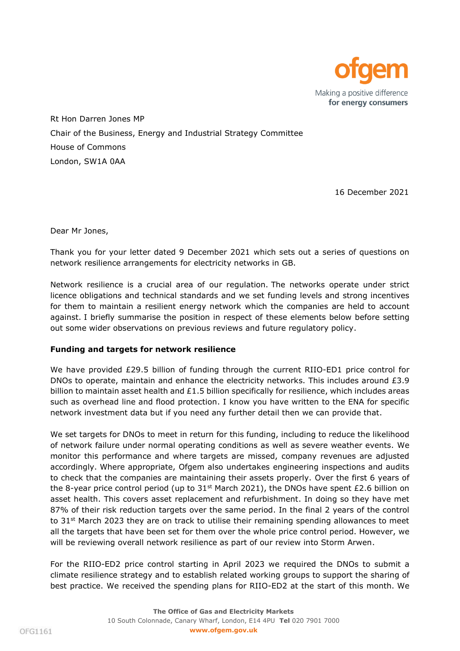

Rt Hon Darren Jones MP Chair of the Business, Energy and Industrial Strategy Committee House of Commons London, SW1A 0AA

16 December 2021

Dear Mr Jones,

Thank you for your letter dated 9 December 2021 which sets out a series of questions on network resilience arrangements for electricity networks in GB.

Network resilience is a crucial area of our regulation. The networks operate under strict licence obligations and technical standards and we set funding levels and strong incentives for them to maintain a resilient energy network which the companies are held to account against. I briefly summarise the position in respect of these elements below before setting out some wider observations on previous reviews and future regulatory policy.

# **Funding and targets for network resilience**

We have provided £29.5 billion of funding through the current RIIO-ED1 price control for DNOs to operate, maintain and enhance the electricity networks. This includes around £3.9 billion to maintain asset health and  $£1.5$  billion specifically for resilience, which includes areas such as overhead line and flood protection. I know you have written to the ENA for specific network investment data but if you need any further detail then we can provide that.

We set targets for DNOs to meet in return for this funding, including to reduce the likelihood of network failure under normal operating conditions as well as severe weather events. We monitor this performance and where targets are missed, company revenues are adjusted accordingly. Where appropriate, Ofgem also undertakes engineering inspections and audits to check that the companies are maintaining their assets properly. Over the first 6 years of the 8-year price control period (up to  $31^{st}$  March 2021), the DNOs have spent £2.6 billion on asset health. This covers asset replacement and refurbishment. In doing so they have met 87% of their risk reduction targets over the same period. In the final 2 years of the control to 31<sup>st</sup> March 2023 they are on track to utilise their remaining spending allowances to meet all the targets that have been set for them over the whole price control period. However, we will be reviewing overall network resilience as part of our review into Storm Arwen.

For the RIIO-ED2 price control starting in April 2023 we required the DNOs to submit a climate resilience strategy and to establish related working groups to support the sharing of best practice. We received the spending plans for RIIO-ED2 at the start of this month. We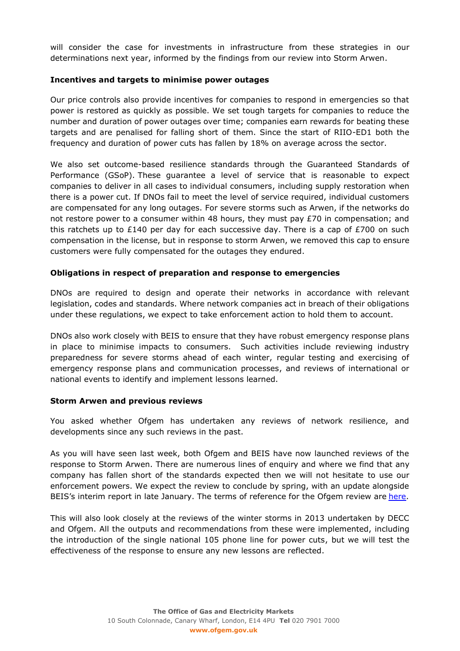will consider the case for investments in infrastructure from these strategies in our determinations next year, informed by the findings from our review into Storm Arwen.

## **Incentives and targets to minimise power outages**

Our price controls also provide incentives for companies to respond in emergencies so that power is restored as quickly as possible. We set tough targets for companies to reduce the number and duration of power outages over time; companies earn rewards for beating these targets and are penalised for falling short of them. Since the start of RIIO-ED1 both the frequency and duration of power cuts has fallen by 18% on average across the sector.

We also set outcome-based resilience standards through the Guaranteed Standards of Performance (GSoP). These guarantee a level of service that is reasonable to expect companies to deliver in all cases to individual consumers, including supply restoration when there is a power cut. If DNOs fail to meet the level of service required, individual customers are compensated for any long outages. For severe storms such as Arwen, if the networks do not restore power to a consumer within 48 hours, they must pay £70 in compensation; and this ratchets up to  $£140$  per day for each successive day. There is a cap of  $£700$  on such compensation in the license, but in response to storm Arwen, we removed this cap to ensure customers were fully compensated for the outages they endured.

### **Obligations in respect of preparation and response to emergencies**

DNOs are required to design and operate their networks in accordance with relevant legislation, codes and standards. Where network companies act in breach of their obligations under these regulations, we expect to take enforcement action to hold them to account.

DNOs also work closely with BEIS to ensure that they have robust emergency response plans in place to minimise impacts to consumers. Such activities include reviewing industry preparedness for severe storms ahead of each winter, regular testing and exercising of emergency response plans and communication processes, and reviews of international or national events to identify and implement lessons learned.

#### **Storm Arwen and previous reviews**

You asked whether Ofgem has undertaken any reviews of network resilience, and developments since any such reviews in the past.

As you will have seen last week, both Ofgem and BEIS have now launched reviews of the response to Storm Arwen. There are numerous lines of enquiry and where we find that any company has fallen short of the standards expected then we will not hesitate to use our enforcement powers. We expect the review to conclude by spring, with an update alongside BEIS's interim report in late January. The terms of reference for the Ofgem review are [here.](http://ofgemintranet/News/Pages/Notifications/Terms-of-reference-for-the-review-into-the-networks%E2%80%99-response-to-Storm-Arwen.aspx)

This will also look closely at the reviews of the winter storms in 2013 undertaken by DECC and Ofgem. All the outputs and recommendations from these were implemented, including the introduction of the single national 105 phone line for power cuts, but we will test the effectiveness of the response to ensure any new lessons are reflected.